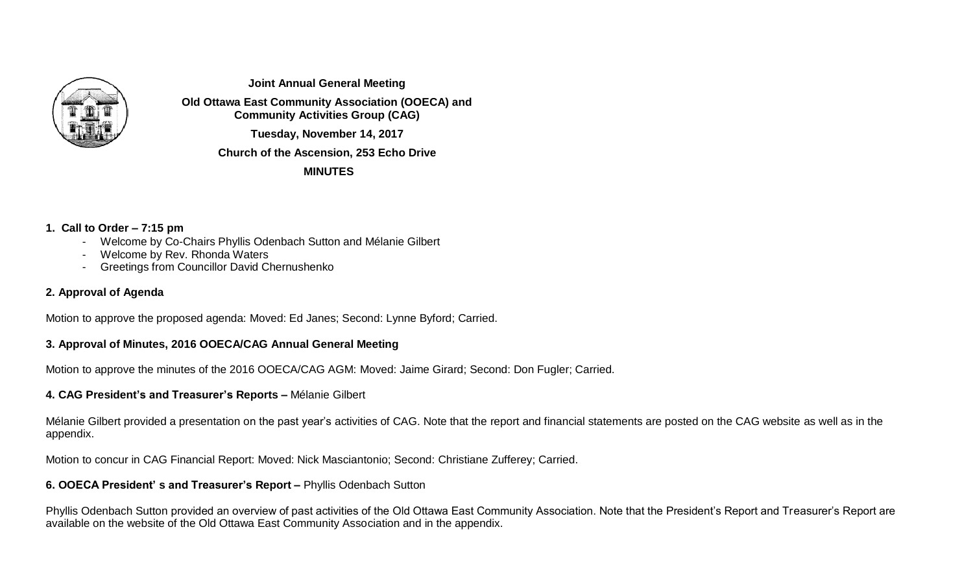

**Joint Annual General Meeting**

**Old Ottawa East Community Association (OOECA) and Community Activities Group (CAG)**

**Tuesday, November 14, 2017**

**Church of the Ascension, 253 Echo Drive**

**MINUTES**

# **1. Call to Order – 7:15 pm**

- Welcome by Co-Chairs Phyllis Odenbach Sutton and Mélanie Gilbert
- Welcome by Rev. Rhonda Waters
- Greetings from Councillor David Chernushenko

# **2. Approval of Agenda**

Motion to approve the proposed agenda: Moved: Ed Janes; Second: Lynne Byford; Carried.

# **3. Approval of Minutes, 2016 OOECA/CAG Annual General Meeting**

Motion to approve the minutes of the 2016 OOECA/CAG AGM: Moved: Jaime Girard; Second: Don Fugler; Carried.

# **4. CAG President's and Treasurer's Reports –** Mélanie Gilbert

Mélanie Gilbert provided a presentation on the past year's activities of CAG. Note that the report and financial statements are posted on the CAG website as well as in the appendix.

Motion to concur in CAG Financial Report: Moved: Nick Masciantonio; Second: Christiane Zufferey; Carried.

## **6. OOECA President' s and Treasurer's Report –** Phyllis Odenbach Sutton

Phyllis Odenbach Sutton provided an overview of past activities of the Old Ottawa East Community Association. Note that the President's Report and Treasurer's Report are available on the website of the Old Ottawa East Community Association and in the appendix.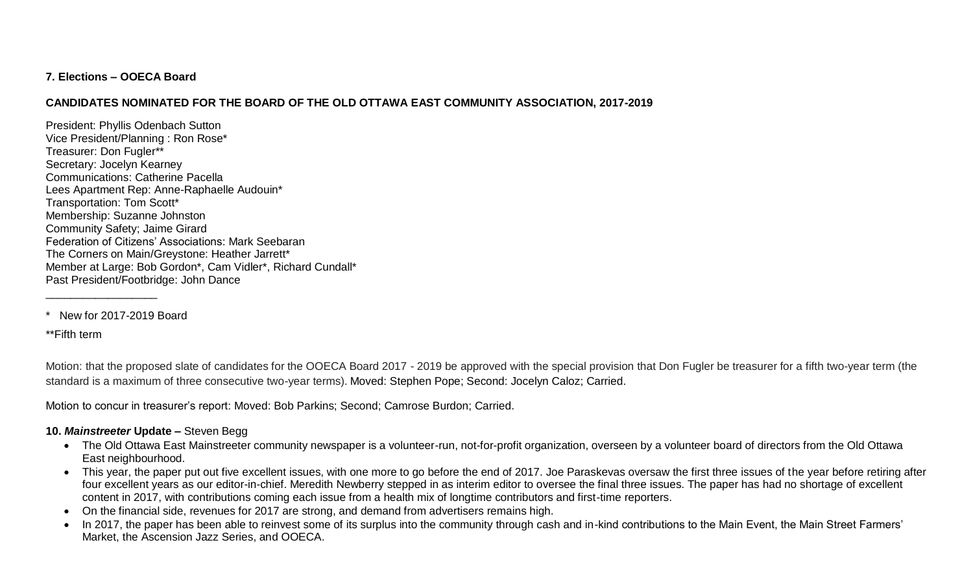## **7. Elections – OOECA Board**

# **CANDIDATES NOMINATED FOR THE BOARD OF THE OLD OTTAWA EAST COMMUNITY ASSOCIATION, 2017-2019**

President: Phyllis Odenbach Sutton Vice President/Planning : Ron Rose\* Treasurer: Don Fugler\*\* Secretary: Jocelyn Kearney Communications: Catherine Pacella Lees Apartment Rep: Anne-Raphaelle Audouin\* Transportation: Tom Scott\* Membership: Suzanne Johnston Community Safety; Jaime Girard Federation of Citizens' Associations: Mark Seebaran The Corners on Main/Greystone: Heather Jarrett\* Member at Large: Bob Gordon\*, Cam Vidler\*, Richard Cundall\* Past President/Footbridge: John Dance

\* New for 2017-2019 Board

\_\_\_\_\_\_\_\_\_\_\_\_\_\_\_\_\_\_

\*\*Fifth term

Motion: that the proposed slate of candidates for the OOECA Board 2017 - 2019 be approved with the special provision that Don Fugler be treasurer for a fifth two-year term (the standard is a maximum of three consecutive two-year terms). Moved: Stephen Pope; Second: Jocelyn Caloz; Carried.

Motion to concur in treasurer's report: Moved: Bob Parkins; Second; Camrose Burdon; Carried.

## **10.** *Mainstreeter* **Update –** Steven Begg

- The Old Ottawa East Mainstreeter community newspaper is a volunteer-run, not-for-profit organization, overseen by a volunteer board of directors from the Old Ottawa East neighbourhood.
- This year, the paper put out five excellent issues, with one more to go before the end of 2017. Joe Paraskevas oversaw the first three issues of the year before retiring after four excellent years as our editor-in-chief. Meredith Newberry stepped in as interim editor to oversee the final three issues. The paper has had no shortage of excellent content in 2017, with contributions coming each issue from a health mix of longtime contributors and first-time reporters.
- On the financial side, revenues for 2017 are strong, and demand from advertisers remains high.
- In 2017, the paper has been able to reinvest some of its surplus into the community through cash and in-kind contributions to the Main Event, the Main Street Farmers' Market, the Ascension Jazz Series, and OOECA.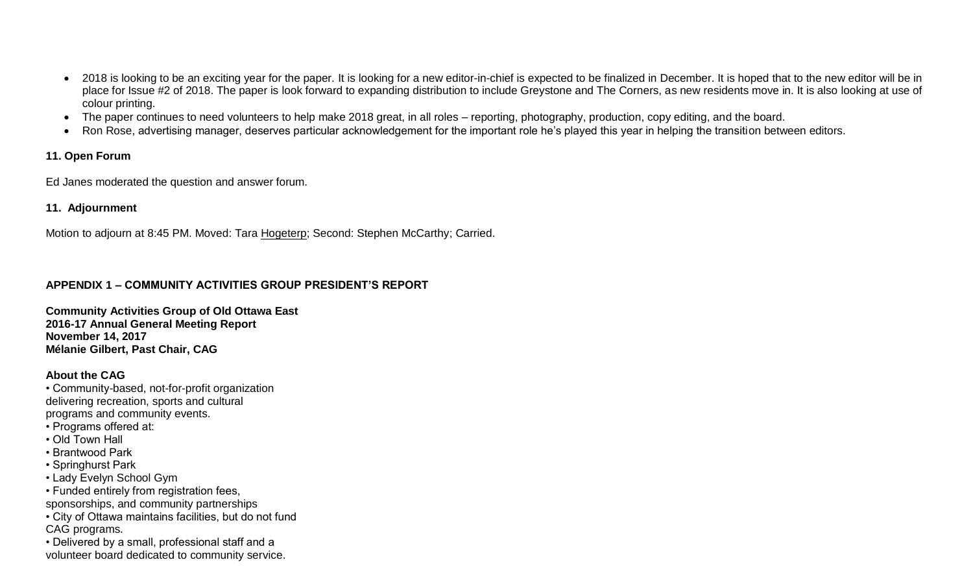- 2018 is looking to be an exciting year for the paper. It is looking for a new editor-in-chief is expected to be finalized in December. It is hoped that to the new editor will be in place for Issue #2 of 2018. The paper is look forward to expanding distribution to include Greystone and The Corners, as new residents move in. It is also looking at use of colour printing.
- The paper continues to need volunteers to help make 2018 great, in all roles reporting, photography, production, copy editing, and the board.
- Ron Rose, advertising manager, deserves particular acknowledgement for the important role he's played this year in helping the transition between editors.

## **11. Open Forum**

Ed Janes moderated the question and answer forum.

# **11. Adjournment**

Motion to adjourn at 8:45 PM. Moved: Tara Hogeterp; Second: Stephen McCarthy; Carried.

# **APPENDIX 1 – COMMUNITY ACTIVITIES GROUP PRESIDENT'S REPORT**

**Community Activities Group of Old Ottawa East 2016-17 Annual General Meeting Report November 14, 2017 Mélanie Gilbert, Past Chair, CAG**

# **About the CAG**

• Community-based, not-for-profit organization delivering recreation, sports and cultural programs and community events.

- Programs offered at:
- Old Town Hall
- Brantwood Park
- Springhurst Park
- Lady Evelyn School Gym
- Funded entirely from registration fees,
- sponsorships, and community partnerships
- City of Ottawa maintains facilities, but do not fund CAG programs.
- Delivered by a small, professional staff and a volunteer board dedicated to community service.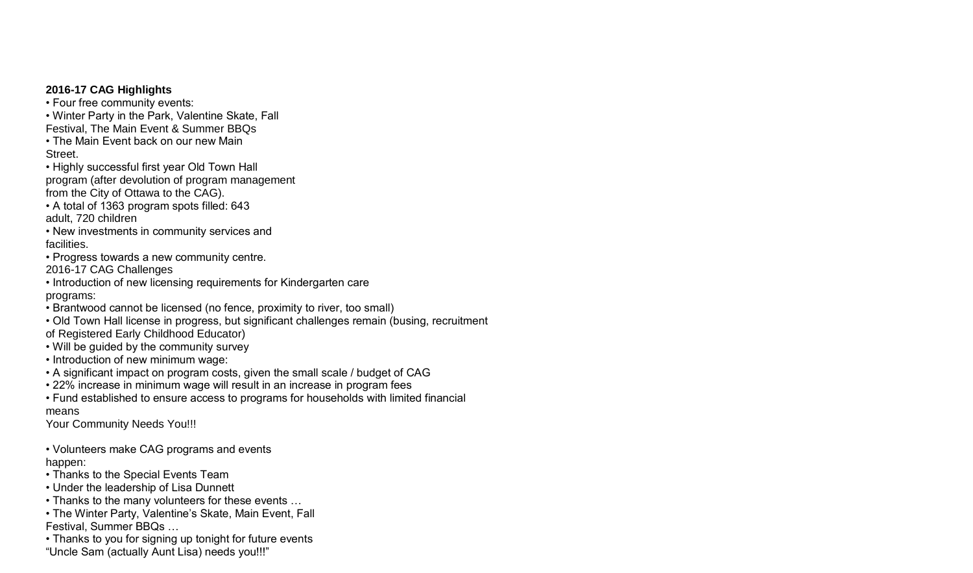## **2016-17 CAG Highlights**

• Four free community events:

• Winter Party in the Park, Valentine Skate, Fall

Festival, The Main Event & Summer BBQs

• The Main Event back on our new Main Street.

• Highly successful first year Old Town Hall program (after devolution of program management from the City of Ottawa to the CAG).

• A total of 1363 program spots filled: 643 adult, 720 children

• New investments in community services and facilities.

• Progress towards a new community centre. 2016-17 CAG Challenges

• Introduction of new licensing requirements for Kindergarten care programs:

• Brantwood cannot be licensed (no fence, proximity to river, too small)

• Old Town Hall license in progress, but significant challenges remain (busing, recruitment

of Registered Early Childhood Educator)

• Will be guided by the community survey

• Introduction of new minimum wage:

• A significant impact on program costs, given the small scale / budget of CAG

• 22% increase in minimum wage will result in an increase in program fees

• Fund established to ensure access to programs for households with limited financial means

Your Community Needs You!!!

• Volunteers make CAG programs and events happen:

• Thanks to the Special Events Team

• Under the leadership of Lisa Dunnett

• Thanks to the many volunteers for these events …

• The Winter Party, Valentine's Skate, Main Event, Fall Festival, Summer BBQs …

• Thanks to you for signing up tonight for future events "Uncle Sam (actually Aunt Lisa) needs you!!!"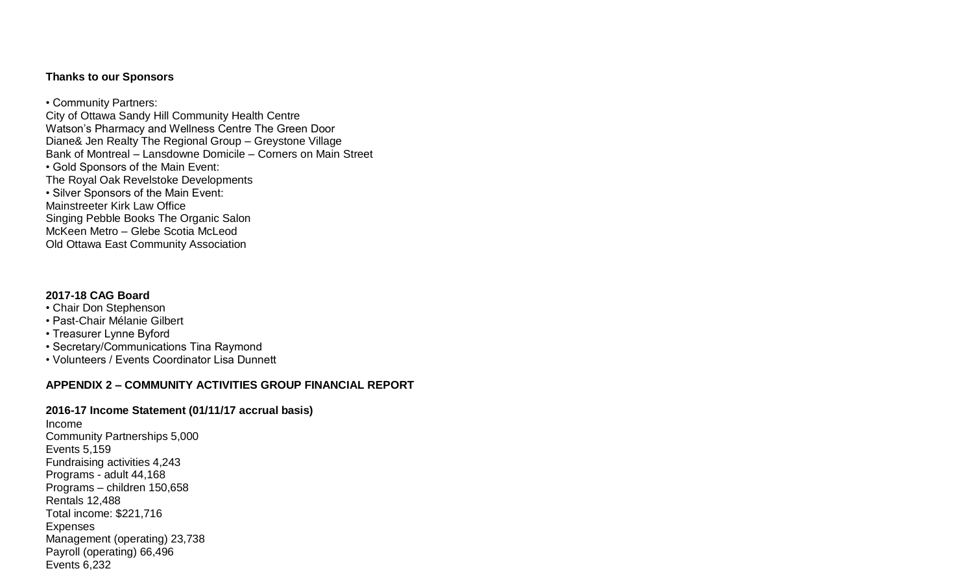## **Thanks to our Sponsors**

• Community Partners: City of Ottawa Sandy Hill Community Health Centre Watson's Pharmacy and Wellness Centre The Green Door Diane& Jen Realty The Regional Group – Greystone Village Bank of Montreal – Lansdowne Domicile – Corners on Main Street • Gold Sponsors of the Main Event: The Royal Oak Revelstoke Developments • Silver Sponsors of the Main Event: Mainstreeter Kirk Law Office Singing Pebble Books The Organic Salon McKeen Metro – Glebe Scotia McLeod Old Ottawa East Community Association

## **2017-18 CAG Board**

- Chair Don Stephenson
- Past-Chair Mélanie Gilbert
- Treasurer Lynne Byford
- Secretary/Communications Tina Raymond
- Volunteers / Events Coordinator Lisa Dunnett

## **APPENDIX 2 – COMMUNITY ACTIVITIES GROUP FINANCIAL REPORT**

## **2016-17 Income Statement (01/11/17 accrual basis)**

Income Community Partnerships 5,000 Events 5,159 Fundraising activities 4,243 Programs - adult 44,168 Programs – children 150,658 Rentals 12,488 Total income: \$221,716 Expenses Management (operating) 23,738 Payroll (operating) 66,496 Events 6,232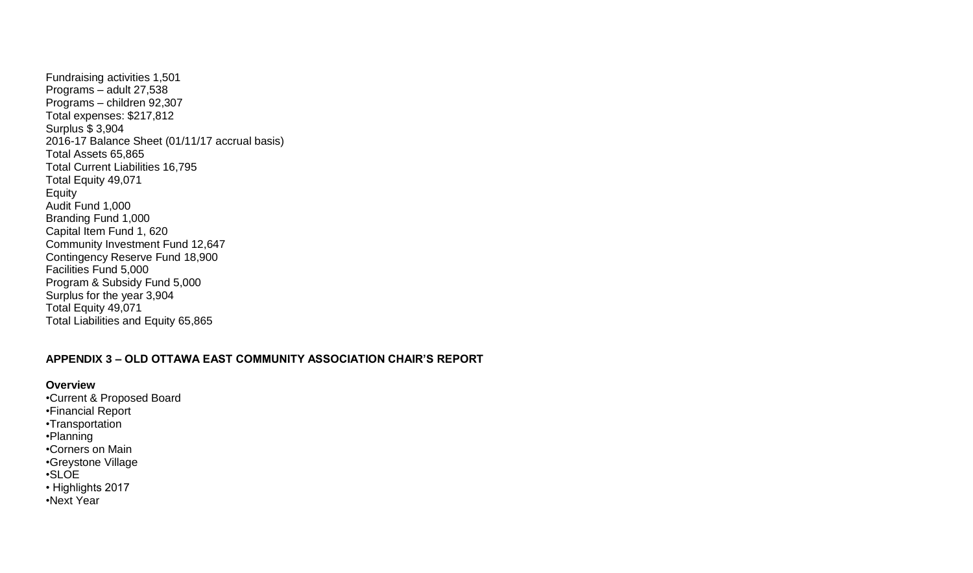Fundraising activities 1,501 Programs – adult 27,538 Programs – children 92,307 Total expenses: \$217,812 Surplus \$ 3,904 2016-17 Balance Sheet (01/11/17 accrual basis) Total Assets 65,865 Total Current Liabilities 16,795 Total Equity 49,071 Equity Audit Fund 1,000 Branding Fund 1,000 Capital Item Fund 1, 620 Community Investment Fund 12,647 Contingency Reserve Fund 18,900 Facilities Fund 5,000 Program & Subsidy Fund 5,000 Surplus for the year 3,904 Total Equity 49,071 Total Liabilities and Equity 65,865

## **APPENDIX 3 – OLD OTTAWA EAST COMMUNITY ASSOCIATION CHAIR'S REPORT**

#### **Overview**

•Current & Proposed Board •Financial Report •Transportation •Planning •Corners on Main •Greystone Village •SLOE • Highlights 2017 •Next Year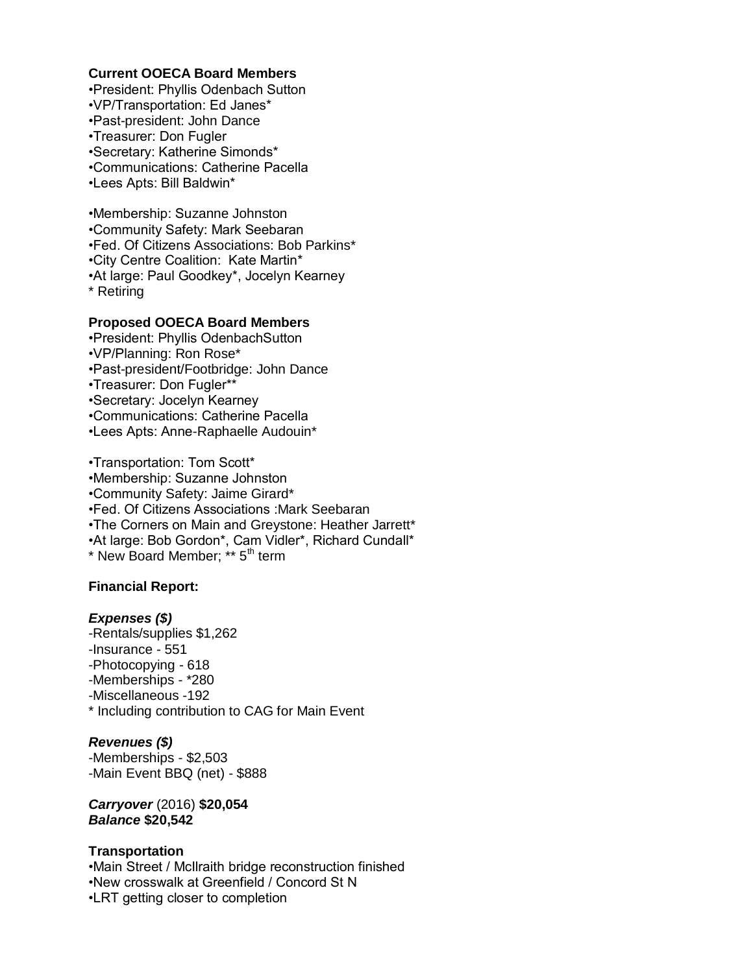#### **Current OOECA Board Members**

•President: Phyllis Odenbach Sutton •VP/Transportation: Ed Janes\* •Past-president: John Dance •Treasurer: Don Fugler •Secretary: Katherine Simonds\* •Communications: Catherine Pacella •Lees Apts: Bill Baldwin\*

•Membership: Suzanne Johnston •Community Safety: Mark Seebaran •Fed. Of Citizens Associations: Bob Parkins\* •City Centre Coalition: Kate Martin\* •At large: Paul Goodkey\*, Jocelyn Kearney \* Retiring

#### **Proposed OOECA Board Members**

•President: Phyllis OdenbachSutton •VP/Planning: Ron Rose\* •Past-president/Footbridge: John Dance •Treasurer: Don Fugler\*\* •Secretary: Jocelyn Kearney •Communications: Catherine Pacella •Lees Apts: Anne-Raphaelle Audouin\*

•Transportation: Tom Scott\* •Membership: Suzanne Johnston •Community Safety: Jaime Girard\* •Fed. Of Citizens Associations :Mark Seebaran •The Corners on Main and Greystone: Heather Jarrett\* •At large: Bob Gordon\*, Cam Vidler\*, Richard Cundall\* \* New Board Member; \*\* 5th term

### **Financial Report:**

#### *Expenses (\$)*

-Rentals/supplies \$1,262 -Insurance - 551 -Photocopying - 618 -Memberships - \*280 -Miscellaneous -192 \* Including contribution to CAG for Main Event

*Revenues (\$)* -Memberships - \$2,503 -Main Event BBQ (net) - \$888

*Carryover* (2016) **\$20,054** *Balance* **\$20,542**

### **Transportation**

•Main Street / McIlraith bridge reconstruction finished •New crosswalk at Greenfield / Concord St N •LRT getting closer to completion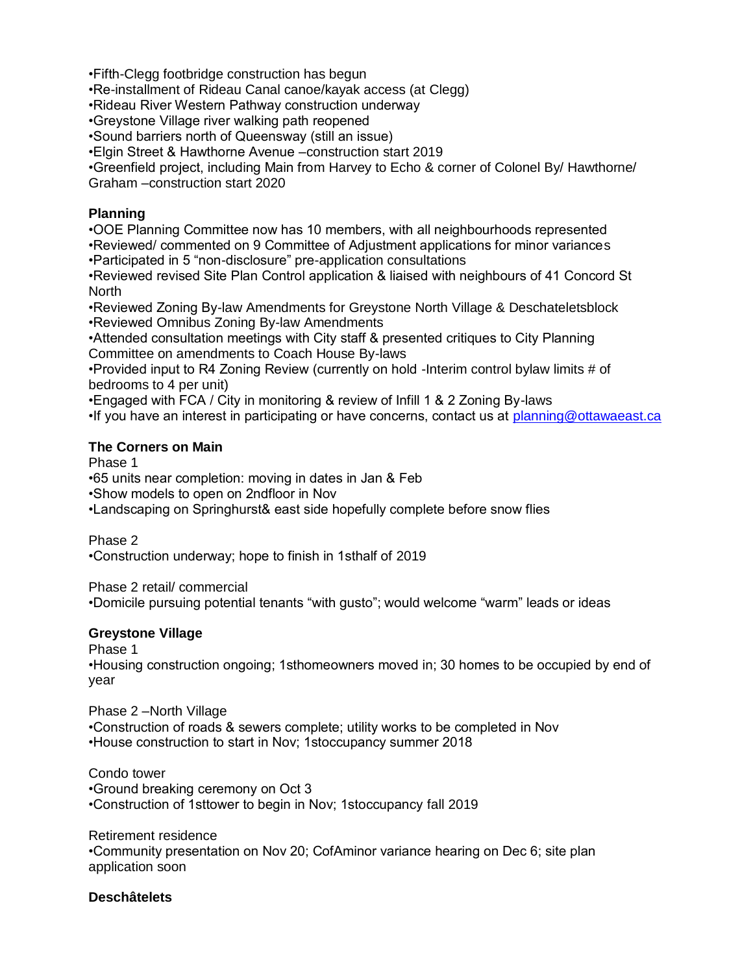•Fifth-Clegg footbridge construction has begun

•Re-installment of Rideau Canal canoe/kayak access (at Clegg)

•Rideau River Western Pathway construction underway

•Greystone Village river walking path reopened

•Sound barriers north of Queensway (still an issue)

•Elgin Street & Hawthorne Avenue –construction start 2019

•Greenfield project, including Main from Harvey to Echo & corner of Colonel By/ Hawthorne/ Graham –construction start 2020

## **Planning**

•OOE Planning Committee now has 10 members, with all neighbourhoods represented •Reviewed/ commented on 9 Committee of Adjustment applications for minor variances •Participated in 5 "non-disclosure" pre-application consultations

•Reviewed revised Site Plan Control application & liaised with neighbours of 41 Concord St North

•Reviewed Zoning By-law Amendments for Greystone North Village & Deschateletsblock •Reviewed Omnibus Zoning By-law Amendments

•Attended consultation meetings with City staff & presented critiques to City Planning Committee on amendments to Coach House By-laws

•Provided input to R4 Zoning Review (currently on hold -Interim control bylaw limits # of bedrooms to 4 per unit)

•Engaged with FCA / City in monitoring & review of Infill 1 & 2 Zoning By-laws

•If you have an interest in participating or have concerns, contact us at [planning@ottawaeast.ca](mailto:planning@ottawaeast.ca)

## **The Corners on Main**

Phase 1

•65 units near completion: moving in dates in Jan & Feb

•Show models to open on 2ndfloor in Nov

•Landscaping on Springhurst& east side hopefully complete before snow flies

Phase 2

•Construction underway; hope to finish in 1sthalf of 2019

Phase 2 retail/ commercial

•Domicile pursuing potential tenants "with gusto"; would welcome "warm" leads or ideas

## **Greystone Village**

Phase 1

•Housing construction ongoing; 1sthomeowners moved in; 30 homes to be occupied by end of year

Phase 2 –North Village

•Construction of roads & sewers complete; utility works to be completed in Nov •House construction to start in Nov; 1stoccupancy summer 2018

Condo tower •Ground breaking ceremony on Oct 3 •Construction of 1sttower to begin in Nov; 1stoccupancy fall 2019

Retirement residence •Community presentation on Nov 20; CofAminor variance hearing on Dec 6; site plan application soon

## **Deschâtelets**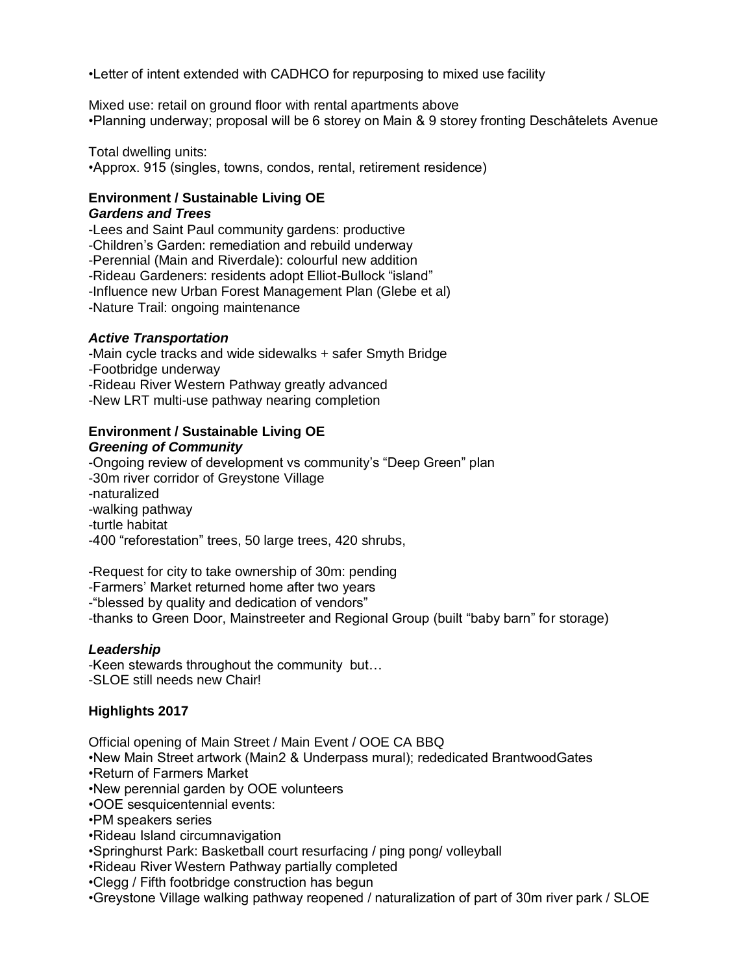•Letter of intent extended with CADHCO for repurposing to mixed use facility

Mixed use: retail on ground floor with rental apartments above •Planning underway; proposal will be 6 storey on Main & 9 storey fronting Deschâtelets Avenue

Total dwelling units:

•Approx. 915 (singles, towns, condos, rental, retirement residence)

#### **Environment / Sustainable Living OE**  *Gardens and Trees*

-Lees and Saint Paul community gardens: productive -Children's Garden: remediation and rebuild underway -Perennial (Main and Riverdale): colourful new addition -Rideau Gardeners: residents adopt Elliot-Bullock "island" -Influence new Urban Forest Management Plan (Glebe et al) -Nature Trail: ongoing maintenance

## *Active Transportation*

-Main cycle tracks and wide sidewalks + safer Smyth Bridge -Footbridge underway -Rideau River Western Pathway greatly advanced -New LRT multi-use pathway nearing completion

### **Environment / Sustainable Living OE**  *Greening of Community*

-Ongoing review of development vs community's "Deep Green" plan -30m river corridor of Greystone Village -naturalized -walking pathway -turtle habitat -400 "reforestation" trees, 50 large trees, 420 shrubs,

-Request for city to take ownership of 30m: pending

-Farmers' Market returned home after two years

-"blessed by quality and dedication of vendors"

-thanks to Green Door, Mainstreeter and Regional Group (built "baby barn" for storage)

## *Leadership*

-Keen stewards throughout the community but… -SLOE still needs new Chair!

## **Highlights 2017**

Official opening of Main Street / Main Event / OOE CA BBQ •New Main Street artwork (Main2 & Underpass mural); rededicated BrantwoodGates •Return of Farmers Market •New perennial garden by OOE volunteers •OOE sesquicentennial events: •PM speakers series •Rideau Island circumnavigation •Springhurst Park: Basketball court resurfacing / ping pong/ volleyball

•Rideau River Western Pathway partially completed

•Clegg / Fifth footbridge construction has begun

•Greystone Village walking pathway reopened / naturalization of part of 30m river park / SLOE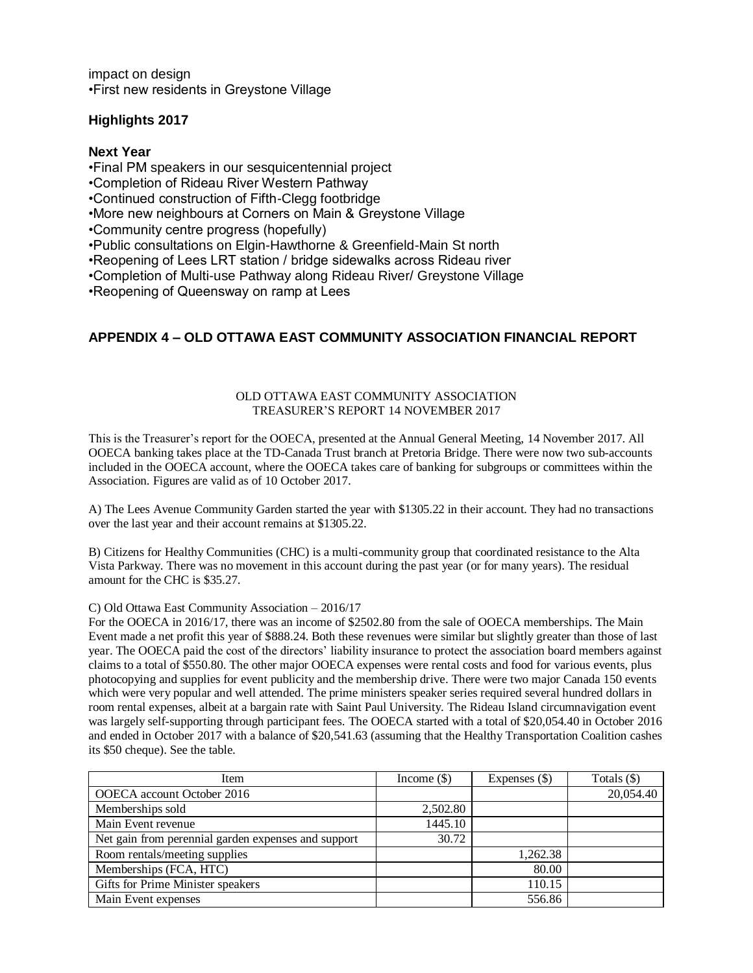impact on design •First new residents in Greystone Village

### **Highlights 2017**

**Next Year**

•Final PM speakers in our sesquicentennial project

•Completion of Rideau River Western Pathway

•Continued construction of Fifth-Clegg footbridge

•More new neighbours at Corners on Main & Greystone Village

•Community centre progress (hopefully)

•Public consultations on Elgin-Hawthorne & Greenfield-Main St north

•Reopening of Lees LRT station / bridge sidewalks across Rideau river

•Completion of Multi-use Pathway along Rideau River/ Greystone Village

•Reopening of Queensway on ramp at Lees

## **APPENDIX 4 – OLD OTTAWA EAST COMMUNITY ASSOCIATION FINANCIAL REPORT**

#### OLD OTTAWA EAST COMMUNITY ASSOCIATION TREASURER'S REPORT 14 NOVEMBER 2017

This is the Treasurer's report for the OOECA, presented at the Annual General Meeting, 14 November 2017. All OOECA banking takes place at the TD-Canada Trust branch at Pretoria Bridge. There were now two sub-accounts included in the OOECA account, where the OOECA takes care of banking for subgroups or committees within the Association. Figures are valid as of 10 October 2017.

A) The Lees Avenue Community Garden started the year with \$1305.22 in their account. They had no transactions over the last year and their account remains at \$1305.22.

B) Citizens for Healthy Communities (CHC) is a multi-community group that coordinated resistance to the Alta Vista Parkway. There was no movement in this account during the past year (or for many years). The residual amount for the CHC is \$35.27.

#### C) Old Ottawa East Community Association – 2016/17

For the OOECA in 2016/17, there was an income of \$2502.80 from the sale of OOECA memberships. The Main Event made a net profit this year of \$888.24. Both these revenues were similar but slightly greater than those of last year. The OOECA paid the cost of the directors' liability insurance to protect the association board members against claims to a total of \$550.80. The other major OOECA expenses were rental costs and food for various events, plus photocopying and supplies for event publicity and the membership drive. There were two major Canada 150 events which were very popular and well attended. The prime ministers speaker series required several hundred dollars in room rental expenses, albeit at a bargain rate with Saint Paul University. The Rideau Island circumnavigation event was largely self-supporting through participant fees. The OOECA started with a total of \$20,054.40 in October 2016 and ended in October 2017 with a balance of \$20,541.63 (assuming that the Healthy Transportation Coalition cashes its \$50 cheque). See the table.

| <b>Item</b>                                         | Income $(\$)$ | Expenses $(\$)$ | Totals $($ ) |
|-----------------------------------------------------|---------------|-----------------|--------------|
| OOECA account October 2016                          |               |                 | 20,054.40    |
| Memberships sold                                    | 2,502.80      |                 |              |
| Main Event revenue                                  | 1445.10       |                 |              |
| Net gain from perennial garden expenses and support | 30.72         |                 |              |
| Room rentals/meeting supplies                       |               | 1,262.38        |              |
| Memberships (FCA, HTC)                              |               | 80.00           |              |
| Gifts for Prime Minister speakers                   |               | 110.15          |              |
| Main Event expenses                                 |               | 556.86          |              |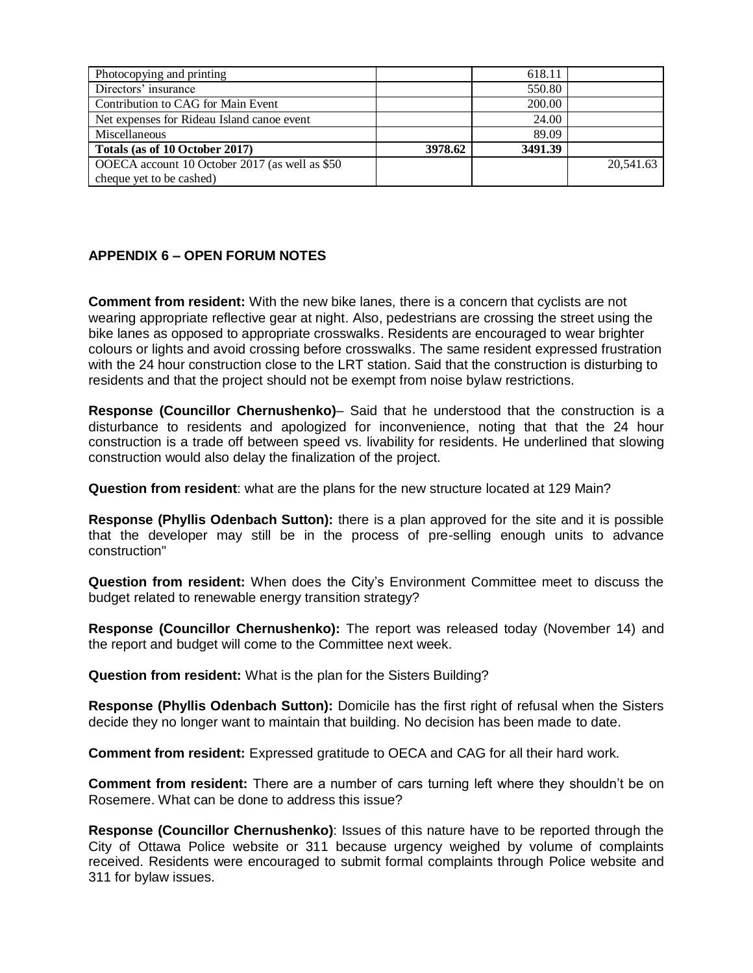| Photocopying and printing                      |         | 618.11  |           |
|------------------------------------------------|---------|---------|-----------|
| Directors' insurance                           |         | 550.80  |           |
| Contribution to CAG for Main Event             |         | 200.00  |           |
| Net expenses for Rideau Island canoe event     |         | 24.00   |           |
| Miscellaneous                                  |         | 89.09   |           |
| Totals (as of 10 October 2017)                 | 3978.62 | 3491.39 |           |
| OOECA account 10 October 2017 (as well as \$50 |         |         | 20,541.63 |
| cheque yet to be cashed)                       |         |         |           |

## **APPENDIX 6 – OPEN FORUM NOTES**

**Comment from resident:** With the new bike lanes, there is a concern that cyclists are not wearing appropriate reflective gear at night. Also, pedestrians are crossing the street using the bike lanes as opposed to appropriate crosswalks. Residents are encouraged to wear brighter colours or lights and avoid crossing before crosswalks. The same resident expressed frustration with the 24 hour construction close to the LRT station. Said that the construction is disturbing to residents and that the project should not be exempt from noise bylaw restrictions.

**Response (Councillor Chernushenko)**– Said that he understood that the construction is a disturbance to residents and apologized for inconvenience, noting that that the 24 hour construction is a trade off between speed vs. livability for residents. He underlined that slowing construction would also delay the finalization of the project.

**Question from resident**: what are the plans for the new structure located at 129 Main?

**Response (Phyllis Odenbach Sutton):** there is a plan approved for the site and it is possible that the developer may still be in the process of pre-selling enough units to advance construction"

**Question from resident:** When does the City's Environment Committee meet to discuss the budget related to renewable energy transition strategy?

**Response (Councillor Chernushenko):** The report was released today (November 14) and the report and budget will come to the Committee next week.

**Question from resident:** What is the plan for the Sisters Building?

**Response (Phyllis Odenbach Sutton):** Domicile has the first right of refusal when the Sisters decide they no longer want to maintain that building. No decision has been made to date.

**Comment from resident:** Expressed gratitude to OECA and CAG for all their hard work.

**Comment from resident:** There are a number of cars turning left where they shouldn't be on Rosemere. What can be done to address this issue?

**Response (Councillor Chernushenko)**: Issues of this nature have to be reported through the City of Ottawa Police website or 311 because urgency weighed by volume of complaints received. Residents were encouraged to submit formal complaints through Police website and 311 for bylaw issues.